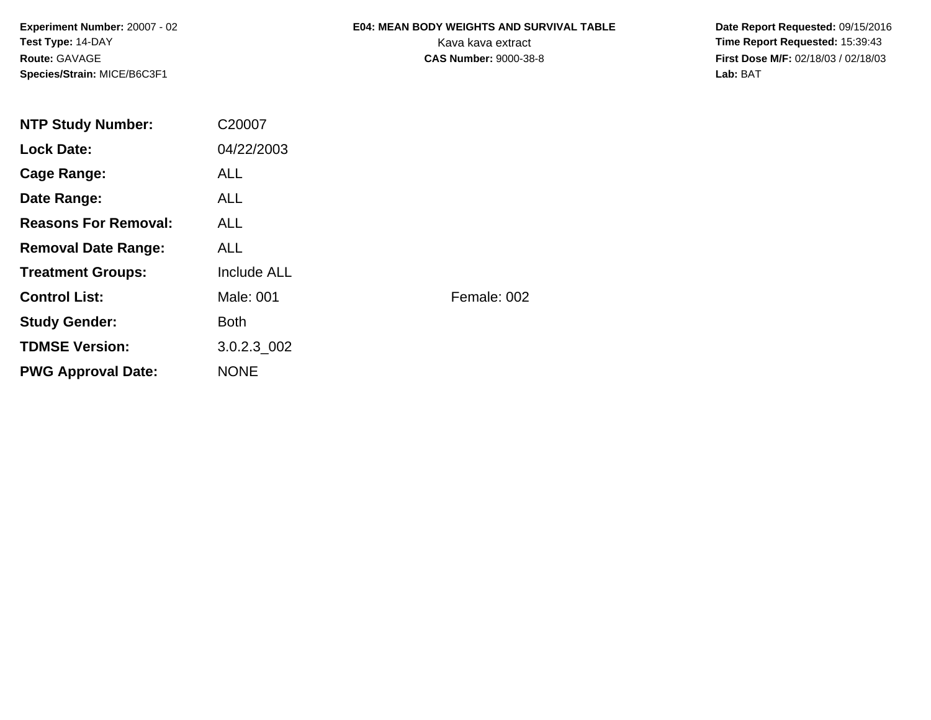**Experiment Number:** 20007 - 02**Test Type:** 14-DAY**Route:** GAVAGE**Species/Strain:** MICE/B6C3F1

# **E04: MEAN BODY WEIGHTS AND SURVIVAL TABLE**

 **Date Report Requested:** 09/15/2016 Kava kava extract **Time Report Requested:** 15:39:43<br>**CAS Number:** 9000-38-8 **Time Report Requested:** 15:39:43 **First Dose M/F:** 02/18/03 / 02/18/03<br>Lab: BAT **Lab:** BAT

| <b>NTP Study Number:</b>    | C20007             |             |
|-----------------------------|--------------------|-------------|
| <b>Lock Date:</b>           | 04/22/2003         |             |
| Cage Range:                 | <b>ALL</b>         |             |
| Date Range:                 | ALL.               |             |
| <b>Reasons For Removal:</b> | ALL.               |             |
| <b>Removal Date Range:</b>  | <b>ALL</b>         |             |
| <b>Treatment Groups:</b>    | <b>Include ALL</b> |             |
| <b>Control List:</b>        | Male: 001          | Female: 002 |
| <b>Study Gender:</b>        | <b>Both</b>        |             |
| <b>TDMSE Version:</b>       | 3.0.2.3 002        |             |
| <b>PWG Approval Date:</b>   | <b>NONE</b>        |             |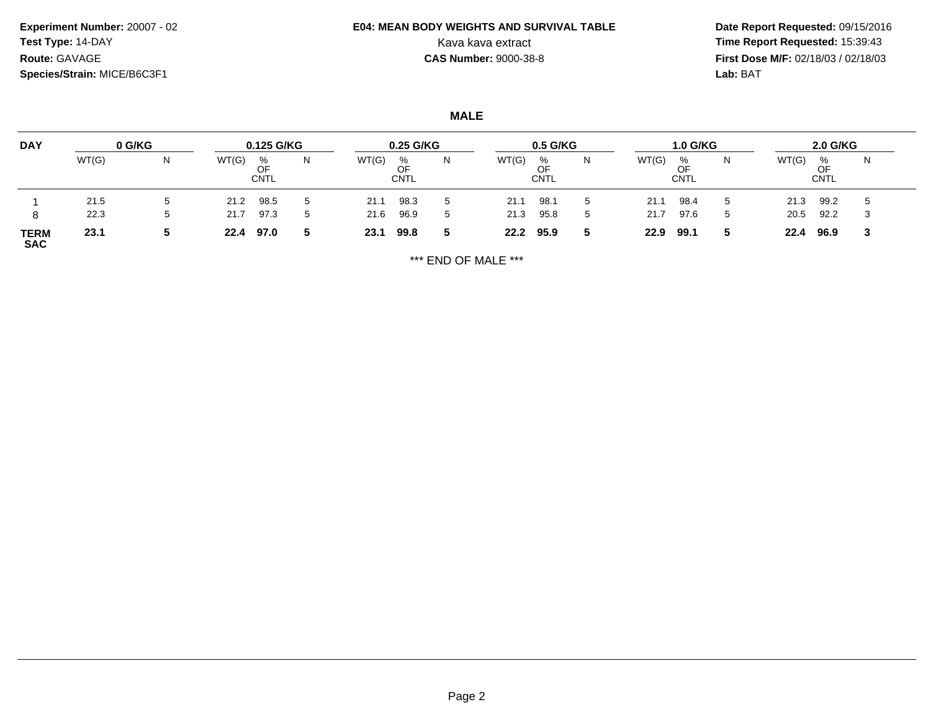**Experiment Number:** 20007 - 02**Test Type:** 14-DAY**Route:** GAVAGE**Species/Strain:** MICE/B6C3F1

## **E04: MEAN BODY WEIGHTS AND SURVIVAL TABLE**

 **Date Report Requested:** 09/15/2016 Kava kava extract **Time Report Requested:** 15:39:43<br>**CAS Number:** 9000-38-8 **Time Report Requested:** 15:39:43 **First Dose M/F:** 02/18/03 / 02/18/03<br>Lab: BAT **Lab:** BAT

**MALE**

| <b>DAY</b>                | 0 G/KG |   | 0.125 G/KG |                        | 0.25 G/KG |       |                 |   | $0.5$ G/KG |                        |   | <b>1.0 G/KG</b> |                        |  | 2.0 G/KG |                        |    |  |
|---------------------------|--------|---|------------|------------------------|-----------|-------|-----------------|---|------------|------------------------|---|-----------------|------------------------|--|----------|------------------------|----|--|
|                           | WT(G)  | N | WT(G)      | %<br>OF<br><b>CNTL</b> | N         | WT(G) | %<br>OF<br>CNTL | N | WT(G)      | %<br>OF<br><b>CNTL</b> | N | WT(G)           | %<br>OF<br><b>CNTL</b> |  | WT(G)    | %<br>OF<br><b>CNTL</b> | N  |  |
|                           | 21.5   |   | 21.2       | 98.5                   | 5         | 21.1  | 98.3            | 5 | 21.1       | 98.1                   |   | 21.1            | 98.4                   |  | 21.3     | 99.2                   |    |  |
| 8                         | 22.3   | G | 21.7       | 97.3                   | 5         | 21.6  | 96.9            | 5 | 21.3       | 95.8                   | 5 | 21.7            | 97.6                   |  | 20.5     | 92.2                   | -3 |  |
| <b>TERM</b><br><b>SAC</b> | 23.1   | J | 22.4       | 97.0                   |           | 23.1  | 99.8            | 5 | 22.2       | 95.9                   |   | 22.9            | 99.1                   |  | 22.4     | 96.9                   | -3 |  |

\*\*\* END OF MALE \*\*\*